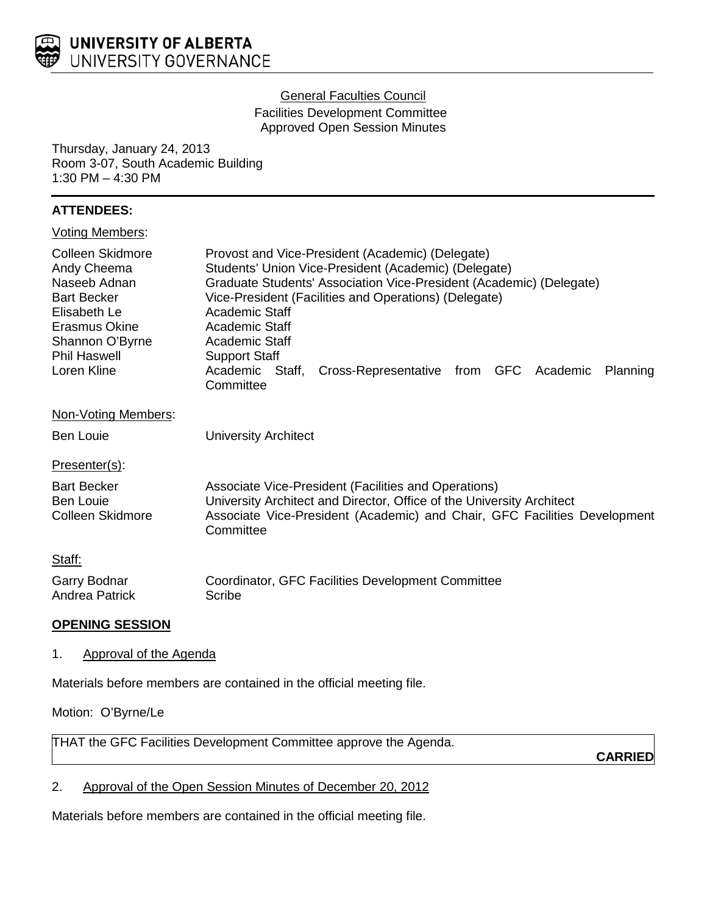

### General Faculties Council

Facilities Development Committee Approved Open Session Minutes

Thursday, January 24, 2013 Room 3-07, South Academic Building 1:30 PM – 4:30 PM

# **ATTENDEES:**

|  |  | <b>Voting Members:</b> |
|--|--|------------------------|
|--|--|------------------------|

| <b>Colleen Skidmore</b>             | Provost and Vice-President (Academic) (Delegate)                                                                             |  |
|-------------------------------------|------------------------------------------------------------------------------------------------------------------------------|--|
| Andy Cheema                         | Students' Union Vice-President (Academic) (Delegate)                                                                         |  |
| Naseeb Adnan                        | Graduate Students' Association Vice-President (Academic) (Delegate)<br>Vice-President (Facilities and Operations) (Delegate) |  |
| <b>Bart Becker</b><br>Elisabeth Le  |                                                                                                                              |  |
| Erasmus Okine                       | Academic Staff<br><b>Academic Staff</b>                                                                                      |  |
| Shannon O'Byrne                     | <b>Academic Staff</b>                                                                                                        |  |
| <b>Phil Haswell</b>                 | <b>Support Staff</b>                                                                                                         |  |
| Loren Kline                         | Academic Staff,<br>Cross-Representative from GFC Academic<br>Planning                                                        |  |
|                                     | Committee                                                                                                                    |  |
| Non-Voting Members:                 |                                                                                                                              |  |
| Ben Louie                           | <b>University Architect</b>                                                                                                  |  |
| Presenter(s):                       |                                                                                                                              |  |
| <b>Bart Becker</b>                  | Associate Vice-President (Facilities and Operations)                                                                         |  |
| <b>Ben Louie</b>                    | University Architect and Director, Office of the University Architect                                                        |  |
| Colleen Skidmore                    | Associate Vice-President (Academic) and Chair, GFC Facilities Development<br>Committee                                       |  |
| Staff:                              |                                                                                                                              |  |
| Garry Bodnar                        | Coordinator, GFC Facilities Development Committee                                                                            |  |
| Andrea Patrick                      | Scribe                                                                                                                       |  |
| <b>OPENING SESSION</b>              |                                                                                                                              |  |
| <b>Approval of the Agenda</b><br>1. |                                                                                                                              |  |

Materials before members are contained in the official meeting file.

Motion: O'Byrne/Le

THAT the GFC Facilities Development Committee approve the Agenda.

**CARRIED**

# 2. Approval of the Open Session Minutes of December 20, 2012

Materials before members are contained in the official meeting file.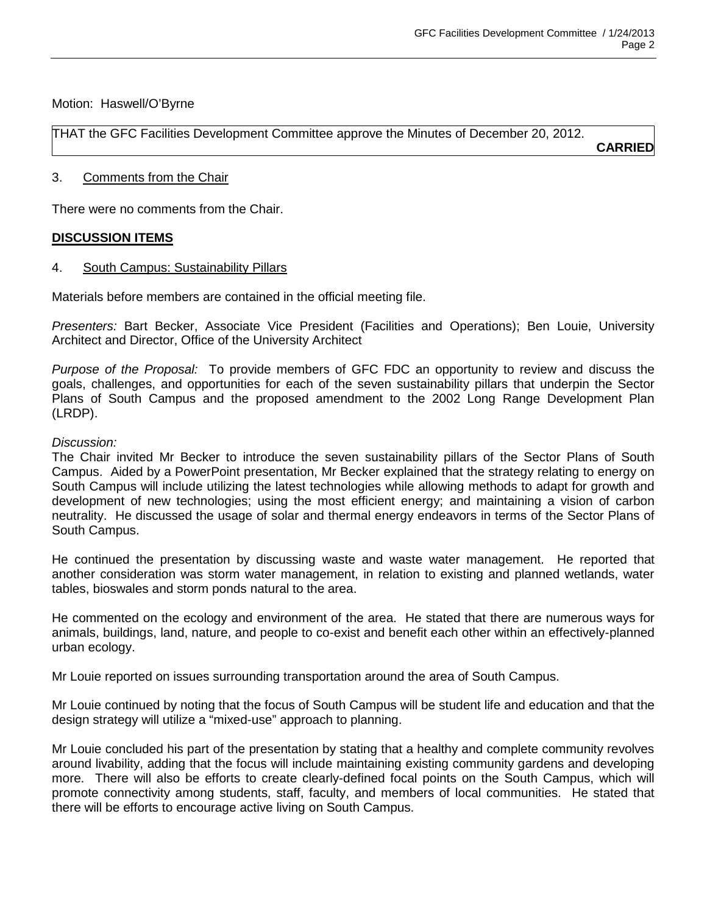### Motion: Haswell/O'Byrne

THAT the GFC Facilities Development Committee approve the Minutes of December 20, 2012.

**CARRIED**

### 3. Comments from the Chair

There were no comments from the Chair.

# **DISCUSSION ITEMS**

#### 4. South Campus: Sustainability Pillars

Materials before members are contained in the official meeting file.

*Presenters:* Bart Becker, Associate Vice President (Facilities and Operations); Ben Louie, University Architect and Director, Office of the University Architect

*Purpose of the Proposal:* To provide members of GFC FDC an opportunity to review and discuss the goals, challenges, and opportunities for each of the seven sustainability pillars that underpin the Sector Plans of South Campus and the proposed amendment to the 2002 Long Range Development Plan (LRDP).

#### *Discussion:*

The Chair invited Mr Becker to introduce the seven sustainability pillars of the Sector Plans of South Campus. Aided by a PowerPoint presentation, Mr Becker explained that the strategy relating to energy on South Campus will include utilizing the latest technologies while allowing methods to adapt for growth and development of new technologies; using the most efficient energy; and maintaining a vision of carbon neutrality. He discussed the usage of solar and thermal energy endeavors in terms of the Sector Plans of South Campus.

He continued the presentation by discussing waste and waste water management. He reported that another consideration was storm water management, in relation to existing and planned wetlands, water tables, bioswales and storm ponds natural to the area.

He commented on the ecology and environment of the area. He stated that there are numerous ways for animals, buildings, land, nature, and people to co-exist and benefit each other within an effectively-planned urban ecology.

Mr Louie reported on issues surrounding transportation around the area of South Campus.

Mr Louie continued by noting that the focus of South Campus will be student life and education and that the design strategy will utilize a "mixed-use" approach to planning.

Mr Louie concluded his part of the presentation by stating that a healthy and complete community revolves around livability, adding that the focus will include maintaining existing community gardens and developing more. There will also be efforts to create clearly-defined focal points on the South Campus, which will promote connectivity among students, staff, faculty, and members of local communities. He stated that there will be efforts to encourage active living on South Campus.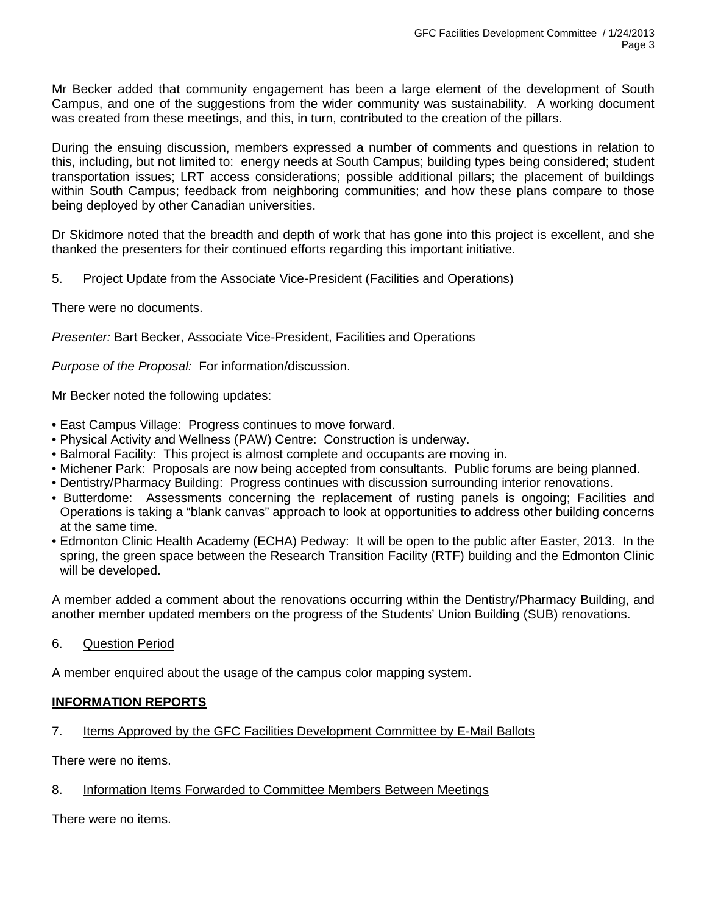Mr Becker added that community engagement has been a large element of the development of South Campus, and one of the suggestions from the wider community was sustainability. A working document was created from these meetings, and this, in turn, contributed to the creation of the pillars.

During the ensuing discussion, members expressed a number of comments and questions in relation to this, including, but not limited to: energy needs at South Campus; building types being considered; student transportation issues; LRT access considerations; possible additional pillars; the placement of buildings within South Campus; feedback from neighboring communities; and how these plans compare to those being deployed by other Canadian universities.

Dr Skidmore noted that the breadth and depth of work that has gone into this project is excellent, and she thanked the presenters for their continued efforts regarding this important initiative.

# 5. Project Update from the Associate Vice-President (Facilities and Operations)

There were no documents.

*Presenter:* Bart Becker, Associate Vice-President, Facilities and Operations

*Purpose of the Proposal:* For information/discussion.

Mr Becker noted the following updates:

- East Campus Village: Progress continues to move forward.
- Physical Activity and Wellness (PAW) Centre: Construction is underway.
- Balmoral Facility: This project is almost complete and occupants are moving in.
- Michener Park: Proposals are now being accepted from consultants. Public forums are being planned.
- Dentistry/Pharmacy Building: Progress continues with discussion surrounding interior renovations.
- Butterdome: Assessments concerning the replacement of rusting panels is ongoing; Facilities and Operations is taking a "blank canvas" approach to look at opportunities to address other building concerns at the same time.
- Edmonton Clinic Health Academy (ECHA) Pedway: It will be open to the public after Easter, 2013. In the spring, the green space between the Research Transition Facility (RTF) building and the Edmonton Clinic will be developed.

A member added a comment about the renovations occurring within the Dentistry/Pharmacy Building, and another member updated members on the progress of the Students' Union Building (SUB) renovations.

6. Question Period

A member enquired about the usage of the campus color mapping system.

#### **INFORMATION REPORTS**

# 7. Items Approved by the GFC Facilities Development Committee by E-Mail Ballots

There were no items.

# 8. Information Items Forwarded to Committee Members Between Meetings

There were no items.